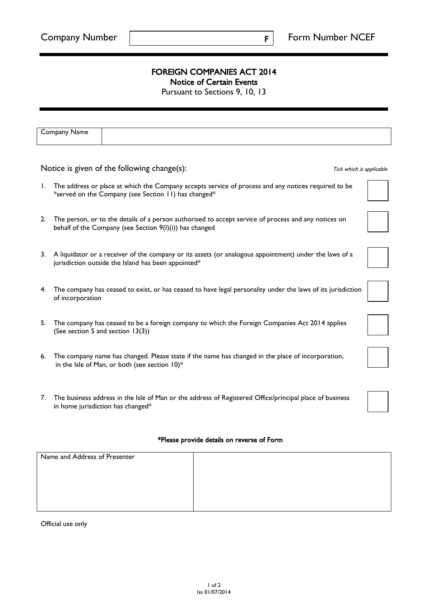F

## FOREIGN COMPANIES ACT 2014

Notice of Certain Events

Pursuant to Sections 9, 10, 13

|                                                                         | Company Name                                                                                                                                                    |  |  |  |
|-------------------------------------------------------------------------|-----------------------------------------------------------------------------------------------------------------------------------------------------------------|--|--|--|
|                                                                         |                                                                                                                                                                 |  |  |  |
| Notice is given of the following change(s):<br>Tick which is applicable |                                                                                                                                                                 |  |  |  |
| Ι.                                                                      | The address or place at which the Company accepts service of process and any notices required to be<br>*served on the Company (see Section 11) has changed*     |  |  |  |
| 2.                                                                      | The person, or to the details of a person authorised to accept service of process and any notices on<br>behalf of the Company (see Section 9(I)(i)) has changed |  |  |  |
| 3.                                                                      | A liquidator or a receiver of the company or its assets (or analogous appointment) under the laws of a<br>jurisdiction outside the Island has been appointed*   |  |  |  |
| 4.                                                                      | The company has ceased to exist, or has ceased to have legal personality under the laws of its jurisdiction<br>of incorporation                                 |  |  |  |
| 5.                                                                      | The company has ceased to be a foreign company to which the Foreign Companies Act 2014 applies<br>(See section 5 and section 13(3))                             |  |  |  |
|                                                                         | 6. The company name has changed. Please state if the name has changed in the place of incorporation,<br>in the Isle of Man, or both (see section $10$ )*        |  |  |  |
| 7.                                                                      | The business address in the Isle of Man or the address of Registered Office/principal place of business<br>in home jurisdiction has changed*                    |  |  |  |

## \*Please provide details on reverse of Form

| Name and Address of Presenter |  |
|-------------------------------|--|
|                               |  |
|                               |  |
|                               |  |
|                               |  |

Official use only